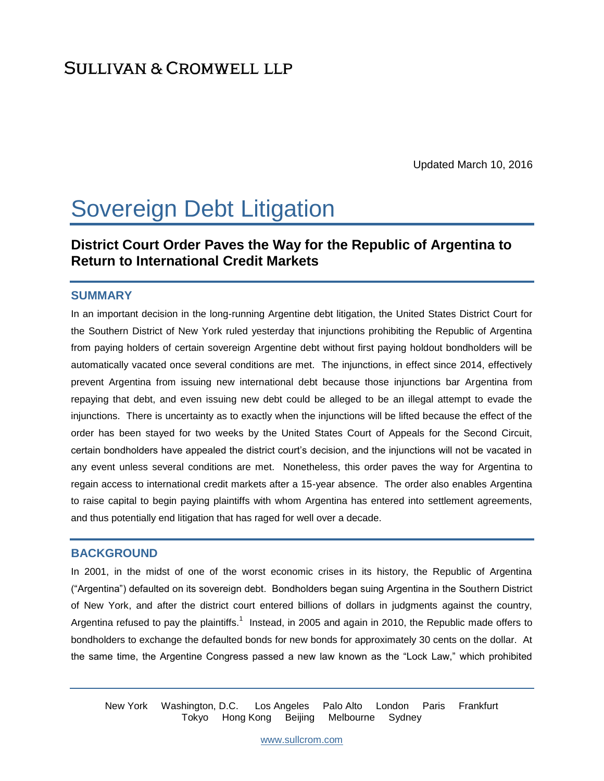Updated March 10, 2016

# Sovereign Debt Litigation

# **District Court Order Paves the Way for the Republic of Argentina to Return to International Credit Markets**

#### **SUMMARY**

In an important decision in the long-running Argentine debt litigation, the United States District Court for the Southern District of New York ruled yesterday that injunctions prohibiting the Republic of Argentina from paying holders of certain sovereign Argentine debt without first paying holdout bondholders will be automatically vacated once several conditions are met. The injunctions, in effect since 2014, effectively prevent Argentina from issuing new international debt because those injunctions bar Argentina from repaying that debt, and even issuing new debt could be alleged to be an illegal attempt to evade the injunctions. There is uncertainty as to exactly when the injunctions will be lifted because the effect of the order has been stayed for two weeks by the United States Court of Appeals for the Second Circuit, certain bondholders have appealed the district court's decision, and the injunctions will not be vacated in any event unless several conditions are met. Nonetheless, this order paves the way for Argentina to regain access to international credit markets after a 15-year absence. The order also enables Argentina to raise capital to begin paying plaintiffs with whom Argentina has entered into settlement agreements, and thus potentially end litigation that has raged for well over a decade.

#### **BACKGROUND**

In 2001, in the midst of one of the worst economic crises in its history, the Republic of Argentina ("Argentina") defaulted on its sovereign debt. Bondholders began suing Argentina in the Southern District of New York, and after the district court entered billions of dollars in judgments against the country, Argentina refused to pay the plaintiffs.<sup>1</sup> Instead, in 2005 and again in 2010, the Republic made offers to bondholders to exchange the defaulted bonds for new bonds for approximately 30 cents on the dollar. At the same time, the Argentine Congress passed a new law known as the "Lock Law," which prohibited

New York Washington, D.C. Los Angeles Palo Alto London Paris Frankfurt Tokyo Hong Kong Beijing Melbourne Sydney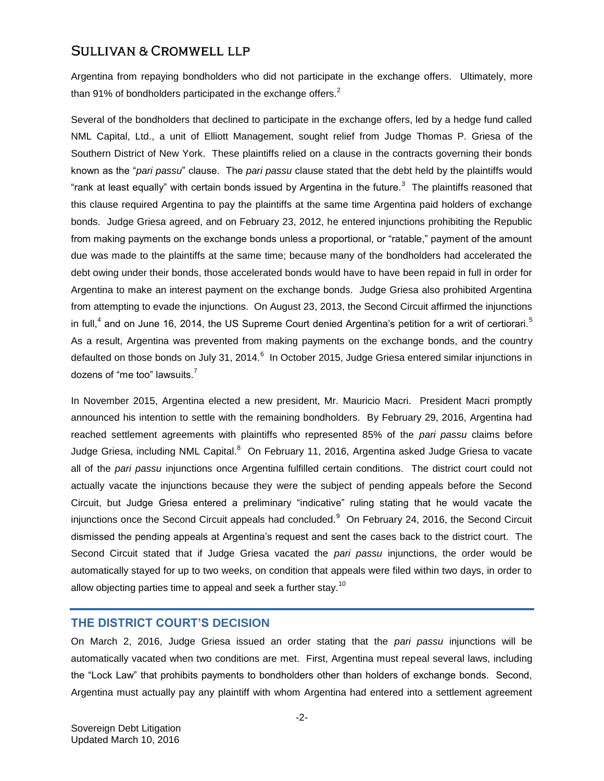Argentina from repaying bondholders who did not participate in the exchange offers. Ultimately, more than 91% of bondholders participated in the exchange offers. $2$ 

Several of the bondholders that declined to participate in the exchange offers, led by a hedge fund called NML Capital, Ltd., a unit of Elliott Management, sought relief from Judge Thomas P. Griesa of the Southern District of New York. These plaintiffs relied on a clause in the contracts governing their bonds known as the "*pari passu*" clause. The *pari passu* clause stated that the debt held by the plaintiffs would "rank at least equally" with certain bonds issued by Argentina in the future.<sup>3</sup> The plaintiffs reasoned that this clause required Argentina to pay the plaintiffs at the same time Argentina paid holders of exchange bonds. Judge Griesa agreed, and on February 23, 2012, he entered injunctions prohibiting the Republic from making payments on the exchange bonds unless a proportional, or "ratable," payment of the amount due was made to the plaintiffs at the same time; because many of the bondholders had accelerated the debt owing under their bonds, those accelerated bonds would have to have been repaid in full in order for Argentina to make an interest payment on the exchange bonds. Judge Griesa also prohibited Argentina from attempting to evade the injunctions. On August 23, 2013, the Second Circuit affirmed the injunctions in full,<sup>4</sup> and on June 16, 2014, the US Supreme Court denied Argentina's petition for a writ of certiorari.<sup>5</sup> As a result, Argentina was prevented from making payments on the exchange bonds, and the country defaulted on those bonds on July 31, 2014. $^6$  In October 2015, Judge Griesa entered similar injunctions in dozens of "me too" lawsuits.<sup>7</sup>

In November 2015, Argentina elected a new president, Mr. Mauricio Macri. President Macri promptly announced his intention to settle with the remaining bondholders. By February 29, 2016, Argentina had reached settlement agreements with plaintiffs who represented 85% of the *pari passu* claims before Judge Griesa, including NML Capital.<sup>8</sup> On February 11, 2016, Argentina asked Judge Griesa to vacate all of the *pari passu* injunctions once Argentina fulfilled certain conditions. The district court could not actually vacate the injunctions because they were the subject of pending appeals before the Second Circuit, but Judge Griesa entered a preliminary "indicative" ruling stating that he would vacate the injunctions once the Second Circuit appeals had concluded.<sup>9</sup> On February 24, 2016, the Second Circuit dismissed the pending appeals at Argentina's request and sent the cases back to the district court. The Second Circuit stated that if Judge Griesa vacated the *pari passu* injunctions, the order would be automatically stayed for up to two weeks, on condition that appeals were filed within two days, in order to allow objecting parties time to appeal and seek a further stay.<sup>10</sup>

#### **THE DISTRICT COURT'S DECISION**

On March 2, 2016, Judge Griesa issued an order stating that the *pari passu* injunctions will be automatically vacated when two conditions are met. First, Argentina must repeal several laws, including the "Lock Law" that prohibits payments to bondholders other than holders of exchange bonds. Second, Argentina must actually pay any plaintiff with whom Argentina had entered into a settlement agreement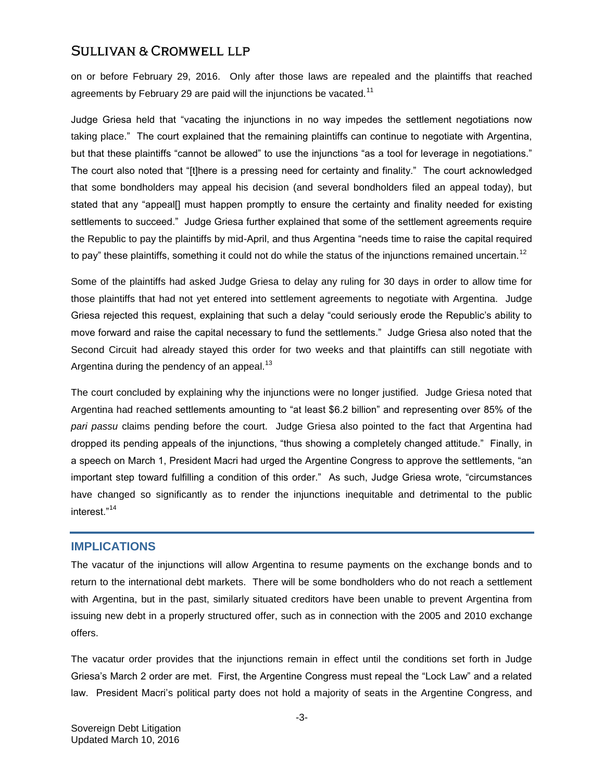on or before February 29, 2016. Only after those laws are repealed and the plaintiffs that reached agreements by February 29 are paid will the injunctions be vacated.<sup>11</sup>

Judge Griesa held that "vacating the injunctions in no way impedes the settlement negotiations now taking place." The court explained that the remaining plaintiffs can continue to negotiate with Argentina, but that these plaintiffs "cannot be allowed" to use the injunctions "as a tool for leverage in negotiations." The court also noted that "[t]here is a pressing need for certainty and finality." The court acknowledged that some bondholders may appeal his decision (and several bondholders filed an appeal today), but stated that any "appeal[] must happen promptly to ensure the certainty and finality needed for existing settlements to succeed." Judge Griesa further explained that some of the settlement agreements require the Republic to pay the plaintiffs by mid-April, and thus Argentina "needs time to raise the capital required to pay" these plaintiffs, something it could not do while the status of the injunctions remained uncertain.<sup>12</sup>

Some of the plaintiffs had asked Judge Griesa to delay any ruling for 30 days in order to allow time for those plaintiffs that had not yet entered into settlement agreements to negotiate with Argentina. Judge Griesa rejected this request, explaining that such a delay "could seriously erode the Republic's ability to move forward and raise the capital necessary to fund the settlements." Judge Griesa also noted that the Second Circuit had already stayed this order for two weeks and that plaintiffs can still negotiate with Argentina during the pendency of an appeal. $^{13}$ 

The court concluded by explaining why the injunctions were no longer justified. Judge Griesa noted that Argentina had reached settlements amounting to "at least \$6.2 billion" and representing over 85% of the *pari passu* claims pending before the court. Judge Griesa also pointed to the fact that Argentina had dropped its pending appeals of the injunctions, "thus showing a completely changed attitude." Finally, in a speech on March 1, President Macri had urged the Argentine Congress to approve the settlements, "an important step toward fulfilling a condition of this order." As such, Judge Griesa wrote, "circumstances have changed so significantly as to render the injunctions inequitable and detrimental to the public interest."<sup>14</sup>

#### **IMPLICATIONS**

The vacatur of the injunctions will allow Argentina to resume payments on the exchange bonds and to return to the international debt markets. There will be some bondholders who do not reach a settlement with Argentina, but in the past, similarly situated creditors have been unable to prevent Argentina from issuing new debt in a properly structured offer, such as in connection with the 2005 and 2010 exchange offers.

The vacatur order provides that the injunctions remain in effect until the conditions set forth in Judge Griesa's March 2 order are met. First, the Argentine Congress must repeal the "Lock Law" and a related law. President Macri's political party does not hold a majority of seats in the Argentine Congress, and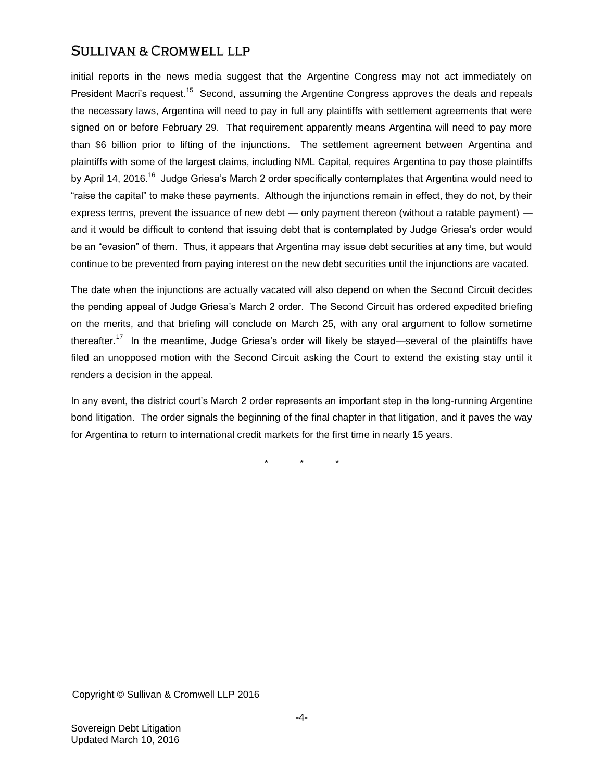initial reports in the news media suggest that the Argentine Congress may not act immediately on President Macri's request.<sup>15</sup> Second, assuming the Argentine Congress approves the deals and repeals the necessary laws, Argentina will need to pay in full any plaintiffs with settlement agreements that were signed on or before February 29. That requirement apparently means Argentina will need to pay more than \$6 billion prior to lifting of the injunctions. The settlement agreement between Argentina and plaintiffs with some of the largest claims, including NML Capital, requires Argentina to pay those plaintiffs by April 14, 2016.<sup>16</sup> Judge Griesa's March 2 order specifically contemplates that Argentina would need to "raise the capital" to make these payments. Although the injunctions remain in effect, they do not, by their express terms, prevent the issuance of new debt — only payment thereon (without a ratable payment) and it would be difficult to contend that issuing debt that is contemplated by Judge Griesa's order would be an "evasion" of them. Thus, it appears that Argentina may issue debt securities at any time, but would continue to be prevented from paying interest on the new debt securities until the injunctions are vacated.

The date when the injunctions are actually vacated will also depend on when the Second Circuit decides the pending appeal of Judge Griesa's March 2 order. The Second Circuit has ordered expedited briefing on the merits, and that briefing will conclude on March 25, with any oral argument to follow sometime thereafter.<sup>17</sup> In the meantime, Judge Griesa's order will likely be stayed—several of the plaintiffs have filed an unopposed motion with the Second Circuit asking the Court to extend the existing stay until it renders a decision in the appeal.

In any event, the district court's March 2 order represents an important step in the long-running Argentine bond litigation. The order signals the beginning of the final chapter in that litigation, and it paves the way for Argentina to return to international credit markets for the first time in nearly 15 years.

\* \* \*

Copyright © Sullivan & Cromwell LLP 2016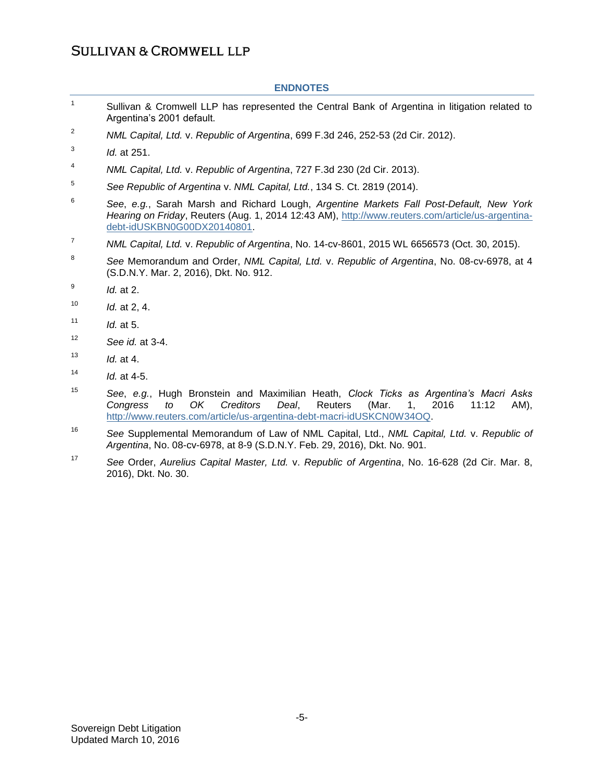#### **ENDNOTES**

- 1 Sullivan & Cromwell LLP has represented the Central Bank of Argentina in litigation related to Argentina's 2001 default.
- <sup>2</sup> *NML Capital, Ltd.* v. *Republic of Argentina*, 699 F.3d 246, 252-53 (2d Cir. 2012).
- 3 *Id.* at 251.
- <sup>4</sup> *NML Capital, Ltd.* v. *Republic of Argentina*, 727 F.3d 230 (2d Cir. 2013).
- 5 *See Republic of Argentina* v. *NML Capital, Ltd.*, 134 S. Ct. 2819 (2014).
- 6 *See*, *e.g.*, Sarah Marsh and Richard Lough, *Argentine Markets Fall Post-Default, New York Hearing on Friday*, Reuters (Aug. 1, 2014 12:43 AM), [http://www.reuters.com/article/us-argentina](http://www.reuters.com/article/us-argentina-debt-idUSKBN0G00DX20140801)[debt-idUSKBN0G00DX20140801.](http://www.reuters.com/article/us-argentina-debt-idUSKBN0G00DX20140801)
- <sup>7</sup> *NML Capital, Ltd.* v. *Republic of Argentina*, No. 14-cv-8601, 2015 WL 6656573 (Oct. 30, 2015).
- 8 *See* Memorandum and Order, *NML Capital, Ltd.* v. *Republic of Argentina*, No. 08-cv-6978, at 4 (S.D.N.Y. Mar. 2, 2016), Dkt. No. 912.
- 9 *Id.* at 2.
- <sup>10</sup> *Id.* at 2, 4.
- <sup>11</sup> *Id.* at 5.
- <sup>12</sup> *See id.* at 3-4.
- <sup>13</sup> *Id.* at 4.
- <sup>14</sup> *Id.* at 4-5.
- <sup>15</sup> *See*, *e.g.*, Hugh Bronstein and Maximilian Heath, *Clock Ticks as Argentina's Macri Asks Congress to OK Creditors Deal*, Reuters (Mar. 1, 2016 11:12 AM), [http://www.reuters.com/article/us-argentina-debt-macri-idUSKCN0W34OQ.](http://www.reuters.com/article/us-argentina-debt-macri-idUSKCN0W34OQ)
- <sup>16</sup> *See* Supplemental Memorandum of Law of NML Capital, Ltd., *NML Capital, Ltd.* v. *Republic of Argentina*, No. 08-cv-6978, at 8-9 (S.D.N.Y. Feb. 29, 2016), Dkt. No. 901.
- <sup>17</sup> *See* Order, *Aurelius Capital Master, Ltd.* v. *Republic of Argentina*, No. 16-628 (2d Cir. Mar. 8, 2016), Dkt. No. 30.